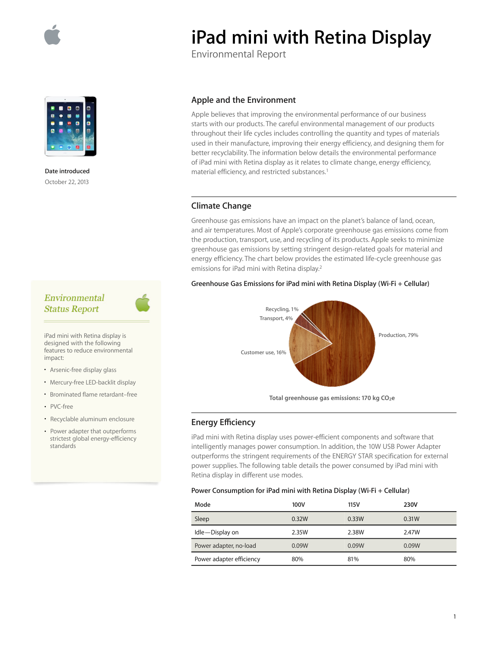

**Date introduced**  October 22, 2013

# **iPad mini with Retina Display**

Environmental Report

## **Apple and the Environment**

Apple believes that improving the environmental performance of our business starts with our products. The careful environmental management of our products throughout their life cycles includes controlling the quantity and types of materials used in their manufacture, improving their energy efficiency, and designing them for better recyclability. The information below details the environmental performance of iPad mini with Retina display as it relates to climate change, energy efficiency, material efficiency, and restricted substances.1

# **Climate Change**

Greenhouse gas emissions have an impact on the planet's balance of land, ocean, and air temperatures. Most of Apple's corporate greenhouse gas emissions come from the production, transport, use, and recycling of its products. Apple seeks to minimize greenhouse gas emissions by setting stringent design-related goals for material and energy efficiency. The chart below provides the estimated life-cycle greenhouse gas emissions for iPad mini with Retina display.2

#### **Greenhouse Gas Emissions for iPad mini with Retina Display (Wi-Fi + Cellular)**



Total greenhouse gas emissions: 170 kg CO<sub>2</sub>e

# **Energy E∑ciency**

iPad mini with Retina display uses power-efficient components and software that intelligently manages power consumption. In addition, the 10W USB Power Adapter outperforms the stringent requirements of the ENERGY STAR specification for external power supplies. The following table details the power consumed by iPad mini with Retina display in different use modes.

#### **Power Consumption for iPad mini with Retina Display (Wi-Fi + Cellular)**

| Mode                     | 100V  | 115V  | 230V  |
|--------------------------|-------|-------|-------|
| Sleep                    | 0.32W | 0.33W | 0.31W |
| Idle-Display on          | 2.35W | 2.38W | 2.47W |
| Power adapter, no-load   | 0.09W | 0.09W | 0.09W |
| Power adapter efficiency | 80%   | 81%   | 80%   |

# Environmental **Status Report**

iPad mini with Retina display is designed with the following features to reduce environmental impact:

- Arsenic-free display glass
- Mercury-free LED-backlit display
- Brominated flame retardant–free
- PVC-free
- Recyclable aluminum enclosure
- Power adapter that outperforms strictest global energy-efficiency standards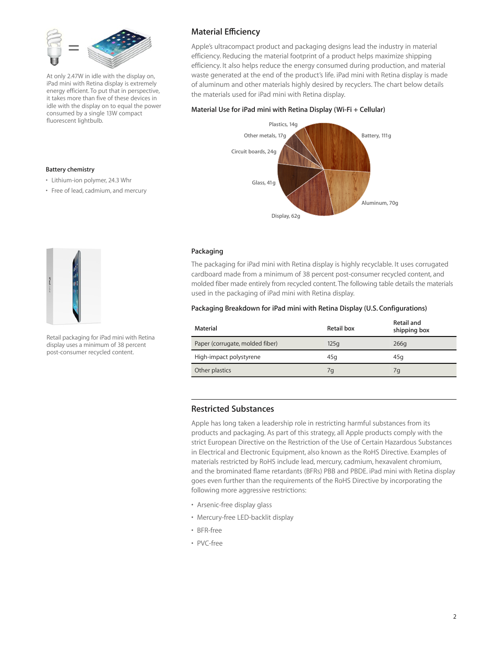

At only 2.47W in idle with the display on, iPad mini with Retina display is extremely energy efficient. To put that in perspective, it takes more than five of these devices in idle with the display on to equal the power consumed by a single 13W compact fluorescent lightbulb.

# **Material E∑ciency**

Apple's ultracompact product and packaging designs lead the industry in material efficiency. Reducing the material footprint of a product helps maximize shipping efficiency. It also helps reduce the energy consumed during production, and material waste generated at the end of the product's life. iPad mini with Retina display is made of aluminum and other materials highly desired by recyclers. The chart below details the materials used for iPad mini with Retina display.

#### **Material Use for iPad mini with Retina Display (Wi-Fi + Cellular)**



#### • Free of lead, cadmium, and mercury

• Lithium-ion polymer, 24.3 Whr

**Battery chemistry** 



Retail packaging for iPad mini with Retina display uses a minimum of 38 percent post-consumer recycled content.

#### **Packaging**

The packaging for iPad mini with Retina display is highly recyclable. It uses corrugated cardboard made from a minimum of 38 percent post-consumer recycled content, and molded fiber made entirely from recycled content. The following table details the materials used in the packaging of iPad mini with Retina display.

#### **Packaging Breakdown for iPad mini with Retina Display (U.S. Configurations)**

| Material                        | Retail box | Retail and<br>shipping box |
|---------------------------------|------------|----------------------------|
| Paper (corrugate, molded fiber) | 125q       | 266q                       |
| High-impact polystyrene         | 45q        | 45a                        |
| Other plastics                  | 7q         | 7g                         |

### **Restricted Substances**

Apple has long taken a leadership role in restricting harmful substances from its products and packaging. As part of this strategy, all Apple products comply with the strict European Directive on the Restriction of the Use of Certain Hazardous Substances in Electrical and Electronic Equipment, also known as the RoHS Directive. Examples of materials restricted by RoHS include lead, mercury, cadmium, hexavalent chromium, and the brominated flame retardants (BFRs) PBB and PBDE. iPad mini with Retina display goes even further than the requirements of the RoHS Directive by incorporating the following more aggressive restrictions:

- Arsenic-free display glass
- Mercury-free LED-backlit display
- BFR-free
- PVC-free